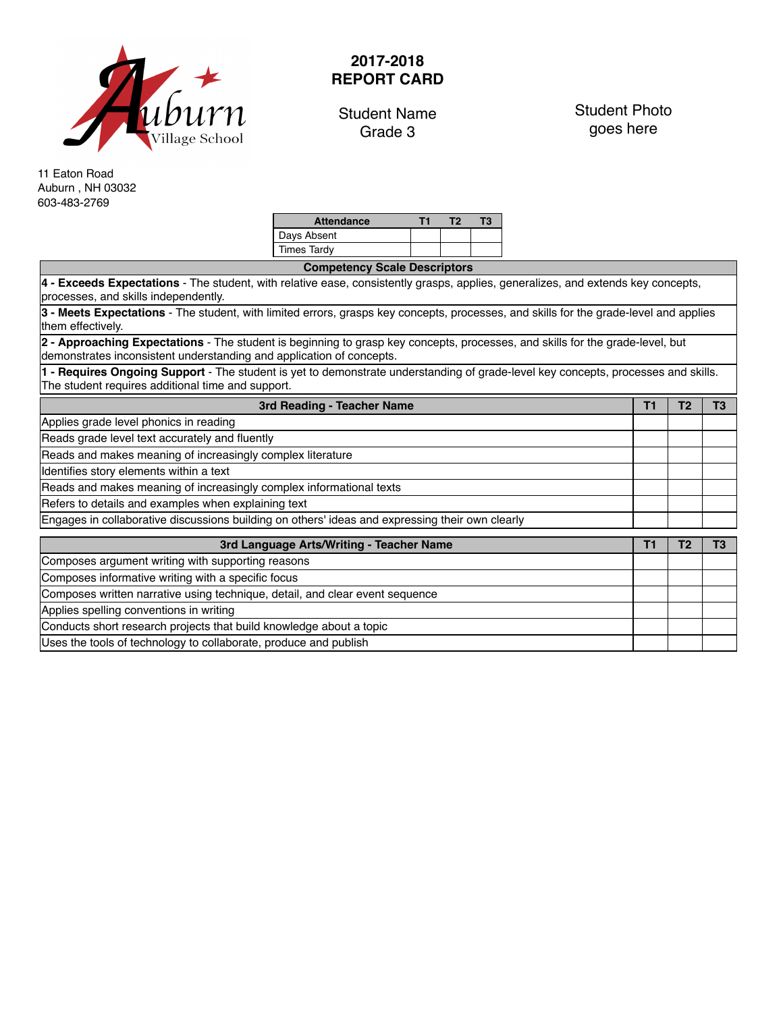

## **2017-2018 REPORT CARD**

Student Name Grade 3

Student Photo goes here

11 Eaton Road Auburn , NH 03032 603-483-2769

| <b>Attendance</b>  |  | Т3. |
|--------------------|--|-----|
| Days Absent        |  |     |
| <b>Times Tardy</b> |  |     |

| <b>Competency Scale Descriptors</b>                                                                                                                                                                   |    |                |                |  |  |  |  |  |  |
|-------------------------------------------------------------------------------------------------------------------------------------------------------------------------------------------------------|----|----------------|----------------|--|--|--|--|--|--|
| 4 - Exceeds Expectations - The student, with relative ease, consistently grasps, applies, generalizes, and extends key concepts,<br>processes, and skills independently.                              |    |                |                |  |  |  |  |  |  |
| 3 - Meets Expectations - The student, with limited errors, grasps key concepts, processes, and skills for the grade-level and applies<br>them effectively.                                            |    |                |                |  |  |  |  |  |  |
| 2 - Approaching Expectations - The student is beginning to grasp key concepts, processes, and skills for the grade-level, but<br>demonstrates inconsistent understanding and application of concepts. |    |                |                |  |  |  |  |  |  |
| 1 - Requires Ongoing Support - The student is yet to demonstrate understanding of grade-level key concepts, processes and skills.<br>The student requires additional time and support.                |    |                |                |  |  |  |  |  |  |
| 3rd Reading - Teacher Name                                                                                                                                                                            | T1 | T <sub>2</sub> | T <sub>3</sub> |  |  |  |  |  |  |
| Applies grade level phonics in reading                                                                                                                                                                |    |                |                |  |  |  |  |  |  |
| Reads grade level text accurately and fluently                                                                                                                                                        |    |                |                |  |  |  |  |  |  |
| Reads and makes meaning of increasingly complex literature                                                                                                                                            |    |                |                |  |  |  |  |  |  |
| Identifies story elements within a text                                                                                                                                                               |    |                |                |  |  |  |  |  |  |
| Reads and makes meaning of increasingly complex informational texts                                                                                                                                   |    |                |                |  |  |  |  |  |  |
| Refers to details and examples when explaining text                                                                                                                                                   |    |                |                |  |  |  |  |  |  |
| Engages in collaborative discussions building on others' ideas and expressing their own clearly                                                                                                       |    |                |                |  |  |  |  |  |  |
| 3rd Language Arts/Writing - Teacher Name                                                                                                                                                              | Τ1 | T <sub>2</sub> | T <sub>3</sub> |  |  |  |  |  |  |
| Composes argument writing with supporting reasons                                                                                                                                                     |    |                |                |  |  |  |  |  |  |
| Composes informative writing with a specific focus                                                                                                                                                    |    |                |                |  |  |  |  |  |  |
| Composes written narrative using technique, detail, and clear event sequence                                                                                                                          |    |                |                |  |  |  |  |  |  |
| Applies spelling conventions in writing                                                                                                                                                               |    |                |                |  |  |  |  |  |  |
| Conducts short research projects that build knowledge about a topic                                                                                                                                   |    |                |                |  |  |  |  |  |  |
| Uses the tools of technology to collaborate, produce and publish                                                                                                                                      |    |                |                |  |  |  |  |  |  |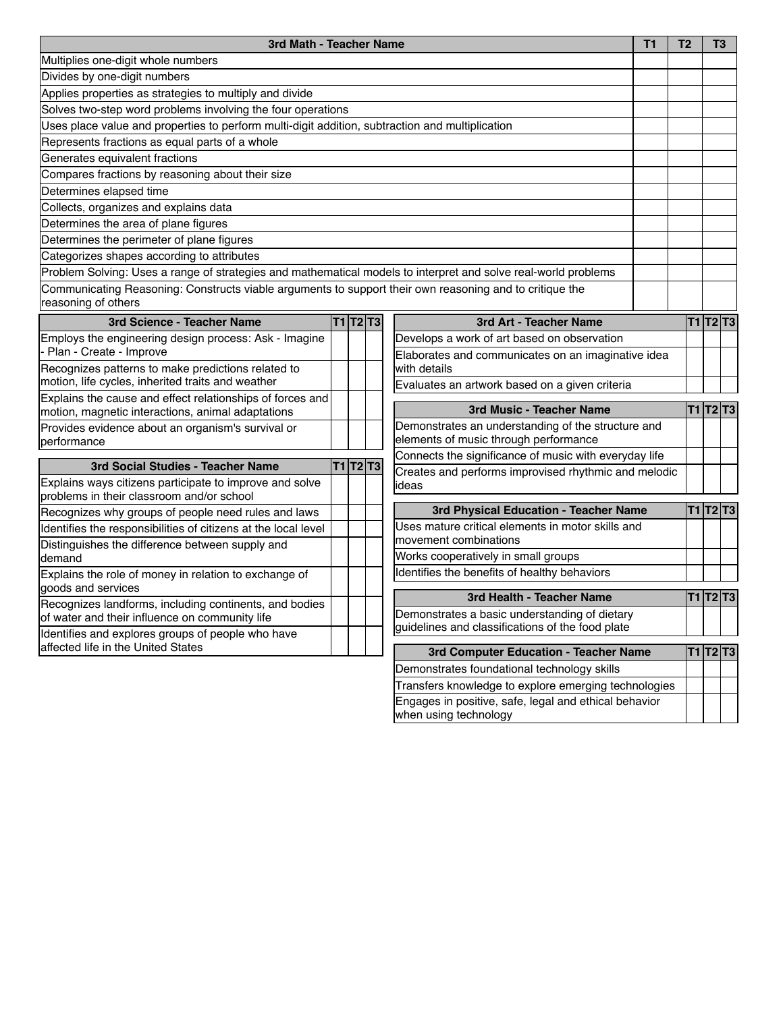| 3rd Math - Teacher Name                                                                                                        |  |  | <b>T1</b> | T <sub>2</sub>                                        | T3                                                                             |  |                 |  |
|--------------------------------------------------------------------------------------------------------------------------------|--|--|-----------|-------------------------------------------------------|--------------------------------------------------------------------------------|--|-----------------|--|
| Multiplies one-digit whole numbers                                                                                             |  |  |           |                                                       |                                                                                |  |                 |  |
| Divides by one-digit numbers                                                                                                   |  |  |           |                                                       |                                                                                |  |                 |  |
| Applies properties as strategies to multiply and divide                                                                        |  |  |           |                                                       |                                                                                |  |                 |  |
| Solves two-step word problems involving the four operations                                                                    |  |  |           |                                                       |                                                                                |  |                 |  |
| Uses place value and properties to perform multi-digit addition, subtraction and multiplication                                |  |  |           |                                                       |                                                                                |  |                 |  |
| Represents fractions as equal parts of a whole                                                                                 |  |  |           |                                                       |                                                                                |  |                 |  |
| Generates equivalent fractions                                                                                                 |  |  |           |                                                       |                                                                                |  |                 |  |
| Compares fractions by reasoning about their size                                                                               |  |  |           |                                                       |                                                                                |  |                 |  |
| Determines elapsed time                                                                                                        |  |  |           |                                                       |                                                                                |  |                 |  |
| Collects, organizes and explains data                                                                                          |  |  |           |                                                       |                                                                                |  |                 |  |
| Determines the area of plane figures                                                                                           |  |  |           |                                                       |                                                                                |  |                 |  |
| Determines the perimeter of plane figures                                                                                      |  |  |           |                                                       |                                                                                |  |                 |  |
| Categorizes shapes according to attributes                                                                                     |  |  |           |                                                       |                                                                                |  |                 |  |
| Problem Solving: Uses a range of strategies and mathematical models to interpret and solve real-world problems                 |  |  |           |                                                       |                                                                                |  |                 |  |
| Communicating Reasoning: Constructs viable arguments to support their own reasoning and to critique the<br>reasoning of others |  |  |           |                                                       |                                                                                |  |                 |  |
| 3rd Science - Teacher Name                                                                                                     |  |  | T1 T2 T3  |                                                       | 3rd Art - Teacher Name                                                         |  | T1 T2 T3        |  |
| Employs the engineering design process: Ask - Imagine                                                                          |  |  |           |                                                       | Develops a work of art based on observation                                    |  |                 |  |
| Plan - Create - Improve                                                                                                        |  |  |           |                                                       | Elaborates and communicates on an imaginative idea                             |  |                 |  |
| Recognizes patterns to make predictions related to                                                                             |  |  |           | with details                                          |                                                                                |  |                 |  |
| motion, life cycles, inherited traits and weather                                                                              |  |  |           |                                                       | Evaluates an artwork based on a given criteria                                 |  |                 |  |
| Explains the cause and effect relationships of forces and<br>motion, magnetic interactions, animal adaptations                 |  |  |           |                                                       | 3rd Music - Teacher Name                                                       |  | <b>T1 T2 T3</b> |  |
| Provides evidence about an organism's survival or                                                                              |  |  |           |                                                       | Demonstrates an understanding of the structure and                             |  |                 |  |
| performance                                                                                                                    |  |  |           | elements of music through performance                 |                                                                                |  |                 |  |
| 3rd Social Studies - Teacher Name                                                                                              |  |  | T1 T2 T3  | Connects the significance of music with everyday life |                                                                                |  |                 |  |
| Explains ways citizens participate to improve and solve                                                                        |  |  |           |                                                       | Creates and performs improvised rhythmic and melodic                           |  |                 |  |
| problems in their classroom and/or school                                                                                      |  |  |           |                                                       | ideas                                                                          |  |                 |  |
| Recognizes why groups of people need rules and laws                                                                            |  |  |           |                                                       | 3rd Physical Education - Teacher Name                                          |  | <b>T1 T2 T3</b> |  |
| Identifies the responsibilities of citizens at the local level                                                                 |  |  |           |                                                       | Uses mature critical elements in motor skills and                              |  |                 |  |
| Distinguishes the difference between supply and                                                                                |  |  |           |                                                       | movement combinations                                                          |  |                 |  |
| demand                                                                                                                         |  |  |           |                                                       | Works cooperatively in small groups                                            |  |                 |  |
| Explains the role of money in relation to exchange of                                                                          |  |  |           | Identifies the benefits of healthy behaviors          |                                                                                |  |                 |  |
| goods and services                                                                                                             |  |  |           | 3rd Health - Teacher Name                             |                                                                                |  | T1 T2 T3        |  |
| Recognizes landforms, including continents, and bodies                                                                         |  |  |           |                                                       | Demonstrates a basic understanding of dietary                                  |  |                 |  |
| of water and their influence on community life                                                                                 |  |  |           |                                                       | guidelines and classifications of the food plate                               |  |                 |  |
| Identifies and explores groups of people who have<br>affected life in the United States                                        |  |  |           |                                                       |                                                                                |  |                 |  |
|                                                                                                                                |  |  |           |                                                       | 3rd Computer Education - Teacher Name                                          |  | <b>T1 T2 T3</b> |  |
|                                                                                                                                |  |  |           |                                                       | Demonstrates foundational technology skills                                    |  |                 |  |
|                                                                                                                                |  |  |           |                                                       | Transfers knowledge to explore emerging technologies                           |  |                 |  |
|                                                                                                                                |  |  |           |                                                       | Engages in positive, safe, legal and ethical behavior<br>when using technology |  |                 |  |